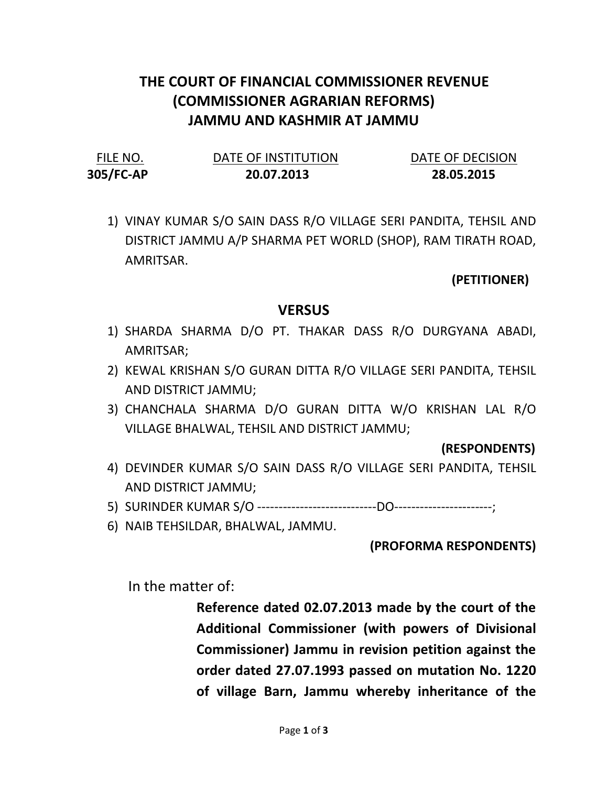# THE COURT OF FINANCIAL COMMISSIONER REVENUE (COMMISSIONER AGRARIAN REFORMS) JAMMU AND KASHMIR AT JAMMU

| FILE NO.  | DATE OF INSTITUTION | DATE OF DECISION |
|-----------|---------------------|------------------|
| 305/FC-AP | 20.07.2013          | 28.05.2015       |

1) VINAY KUMAR S/O SAIN DASS R/O VILLAGE SERI PANDITA, TEHSIL AND DISTRICT JAMMU A/P SHARMA PET WORLD (SHOP), RAM TIRATH ROAD, AMRITSAR.

## (PETITIONER)

## **VERSUS**

- 1) SHARDA SHARMA D/O PT. THAKAR DASS R/O DURGYANA ABADI, AMRITSAR;
- 2) KEWAL KRISHAN S/O GURAN DITTA R/O VILLAGE SERI PANDITA, TEHSIL AND DISTRICT JAMMU;
- 3) CHANCHALA SHARMA D/O GURAN DITTA W/O KRISHAN LAL R/O VILLAGE BHALWAL, TEHSIL AND DISTRICT JAMMU;

#### (RESPONDENTS)

- 4) DEVINDER KUMAR S/O SAIN DASS R/O VILLAGE SERI PANDITA, TEHSIL AND DISTRICT JAMMU;
- 5) SURINDER KUMAR S/O ----------------------------DO-----------------------;
- 6) NAIB TEHSILDAR, BHALWAL, JAMMU.

#### (PROFORMA RESPONDENTS)

In the matter of:

Reference dated 02.07.2013 made by the court of the Additional Commissioner (with powers of Divisional Commissioner) Jammu in revision petition against the order dated 27.07.1993 passed on mutation No. 1220 of village Barn, Jammu whereby inheritance of the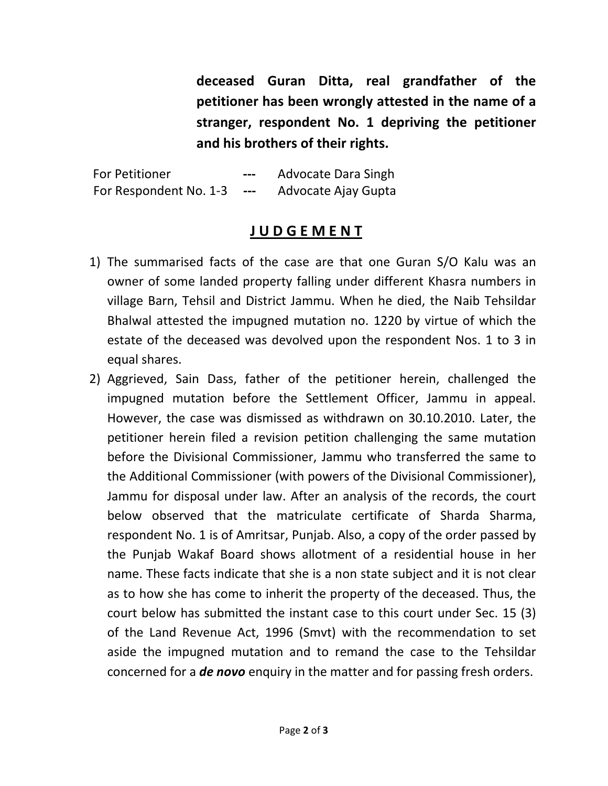deceased Guran Ditta, real grandfather of the petitioner has been wrongly attested in the name of a stranger, respondent No. 1 depriving the petitioner and his brothers of their rights.

For Petitioner **---** Advocate Dara Singh For Respondent No. 1-3 --- Advocate Ajay Gupta

# J U D G E M E N T

- 1) The summarised facts of the case are that one Guran S/O Kalu was an owner of some landed property falling under different Khasra numbers in village Barn, Tehsil and District Jammu. When he died, the Naib Tehsildar Bhalwal attested the impugned mutation no. 1220 by virtue of which the estate of the deceased was devolved upon the respondent Nos. 1 to 3 in equal shares.
- 2) Aggrieved, Sain Dass, father of the petitioner herein, challenged the impugned mutation before the Settlement Officer, Jammu in appeal. However, the case was dismissed as withdrawn on 30.10.2010. Later, the petitioner herein filed a revision petition challenging the same mutation before the Divisional Commissioner, Jammu who transferred the same to the Additional Commissioner (with powers of the Divisional Commissioner), Jammu for disposal under law. After an analysis of the records, the court below observed that the matriculate certificate of Sharda Sharma, respondent No. 1 is of Amritsar, Punjab. Also, a copy of the order passed by the Punjab Wakaf Board shows allotment of a residential house in her name. These facts indicate that she is a non state subject and it is not clear as to how she has come to inherit the property of the deceased. Thus, the court below has submitted the instant case to this court under Sec. 15 (3) of the Land Revenue Act, 1996 (Smvt) with the recommendation to set aside the impugned mutation and to remand the case to the Tehsildar concerned for a **de novo** enquiry in the matter and for passing fresh orders.